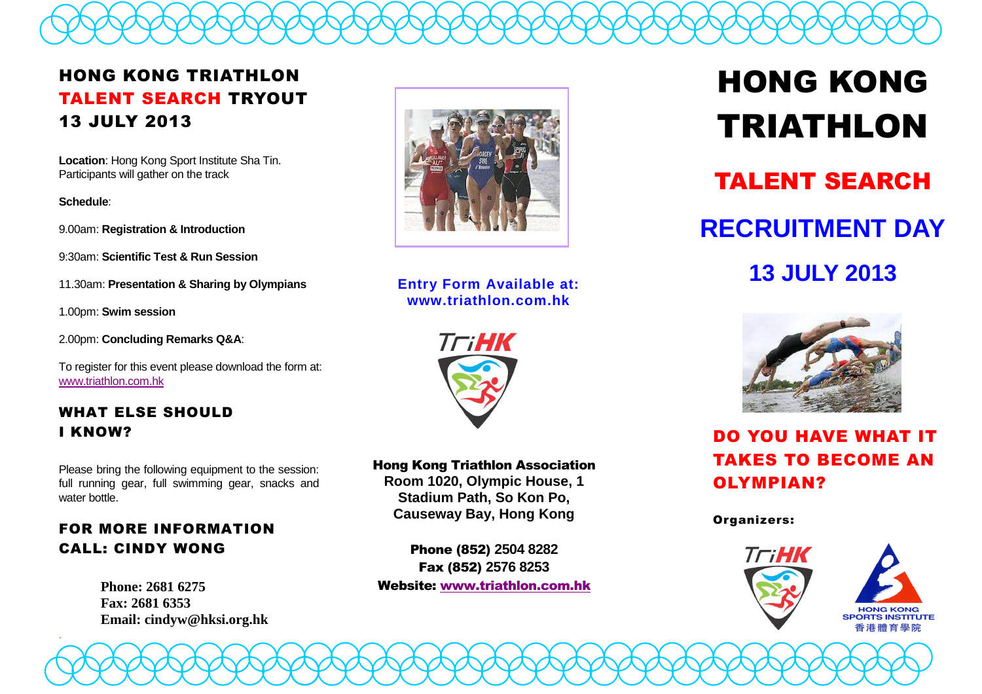

# HONG KONG TRIATHLON TALENT SEARCH TRYOUT 13 JULY 2013

**Location**: Hong Kong Sport Institute Sha Tin. Participants will gather on the track

**Schedule**:

.

9.00am: **Registration & Introduction**

9:30am: **Scientific Test & Run Session**

11.30am: **Presentation & Sharing by Olympians**

1.00pm: **Swim session**

2.00pm: **Concluding Remarks Q&A**:

To register for this event please download the form at:www.triathlon.com.hk

## WHAT ELSE SHOULD I KNOW?

Please bring the following equipment to the session: full running gear, full swimming gear, snacks and water bottle.

## FOR MORE INFORMATION CALL: CINDY WONG

**Phone: 2681 6275 Fax: 2681 6353 Email: cindyw@hksi.org.hk** 



**Entry Form Available at: www.triathlon.com.hk** 



#### Hong Kong Triathlon Association **Room 1020, Olympic House, 1**

**Stadium Path, So Kon Po, Causeway Bay, Hong Kong** 

Phone (852) **2504 8282** Fax (852) **2576 8253**Website: www.triathlon.com.hk

HONG KONG TRIATHLONTALENT SEARCH**RECRUITMENT DAY 13 JULY 2013** 



## DO YOU HAVE WHAT IT TAKES TO BECOME AN OLYMPIAN?

#### Organizers: